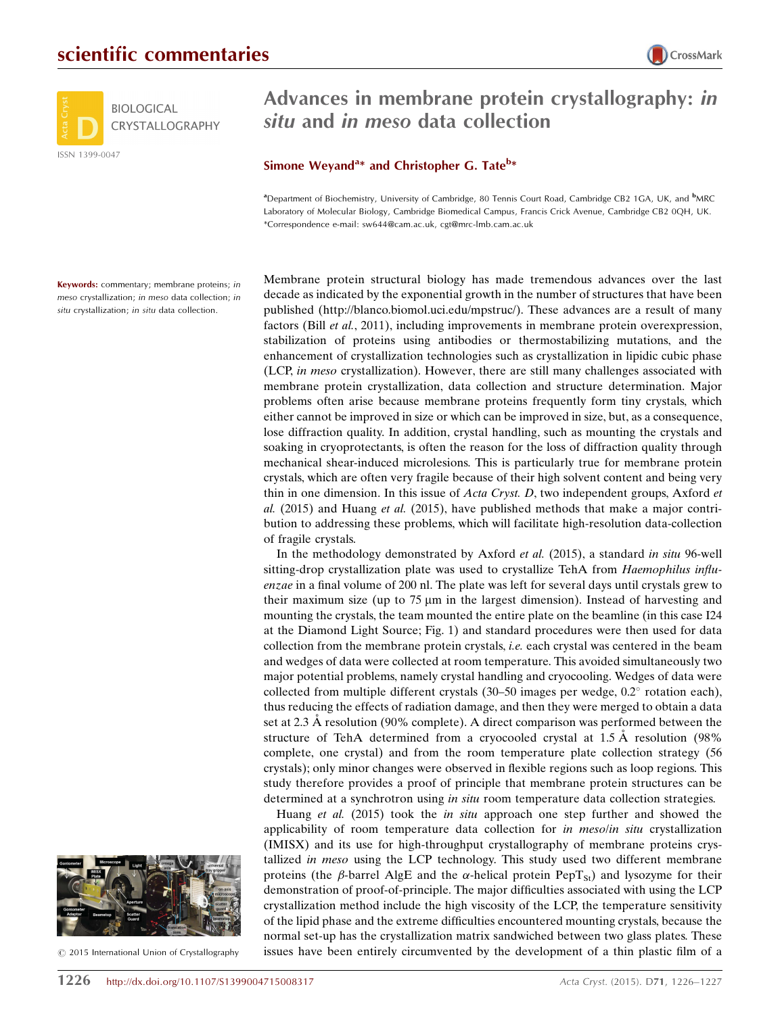



## Advances in membrane protein crystallography: in situ and in meso data collection

## Simone Weyand<sup>a\*</sup> and Christopher G. Tate<sup>b\*</sup>

<sup>a</sup> Department of Biochemistry, University of Cambridge, 80 Tennis Court Road, Cambridge CB2 1GA, UK, and <sup>b</sup>MRC Laboratory of Molecular Biology, Cambridge Biomedical Campus, Francis Crick Avenue, Cambridge CB2 0QH, UK. \*Correspondence e-mail: sw644@cam.ac.uk, cgt@mrc-lmb.cam.ac.uk

Keywords: commentary; membrane proteins; in meso crystallization; in meso data collection; in situ crystallization; in situ data collection.

Membrane protein structural biology has made tremendous advances over the last decade as indicated by the exponential growth in the number of structures that have been published (http://blanco.biomol.uci.edu/mpstruc/). These advances are a result of many factors (Bill et al., 2011), including improvements in membrane protein overexpression, stabilization of proteins using antibodies or thermostabilizing mutations, and the enhancement of crystallization technologies such as crystallization in lipidic cubic phase (LCP, in meso crystallization). However, there are still many challenges associated with membrane protein crystallization, data collection and structure determination. Major problems often arise because membrane proteins frequently form tiny crystals, which either cannot be improved in size or which can be improved in size, but, as a consequence, lose diffraction quality. In addition, crystal handling, such as mounting the crystals and soaking in cryoprotectants, is often the reason for the loss of diffraction quality through mechanical shear-induced microlesions. This is particularly true for membrane protein crystals, which are often very fragile because of their high solvent content and being very thin in one dimension. In this issue of *Acta Cryst. D*, two independent groups, Axford *et* al.  $(2015)$  and Huang *et al.*  $(2015)$ , have published methods that make a major contribution to addressing these problems, which will facilitate high-resolution data-collection of fragile crystals.

In the methodology demonstrated by Axford et al. (2015), a standard in situ 96-well sitting-drop crystallization plate was used to crystallize TehA from *Haemophilus influ*enzae in a final volume of 200 nl. The plate was left for several days until crystals grew to their maximum size (up to 75  $\mu$ m in the largest dimension). Instead of harvesting and mounting the crystals, the team mounted the entire plate on the beamline (in this case I24 at the Diamond Light Source; Fig. 1) and standard procedures were then used for data collection from the membrane protein crystals, i.e. each crystal was centered in the beam and wedges of data were collected at room temperature. This avoided simultaneously two major potential problems, namely crystal handling and cryocooling. Wedges of data were collected from multiple different crystals (30-50 images per wedge, 0.2° rotation each), thus reducing the effects of radiation damage, and then they were merged to obtain a data set at 2.3 A resolution (90% complete). A direct comparison was performed between the structure of TehA determined from a cryocooled crystal at  $1.5 \text{ A}$  resolution (98%) complete, one crystal) and from the room temperature plate collection strategy (56 crystals); only minor changes were observed in flexible regions such as loop regions. This study therefore provides a proof of principle that membrane protein structures can be determined at a synchrotron using in situ room temperature data collection strategies.

Huang *et al.* (2015) took the *in situ* approach one step further and showed the applicability of room temperature data collection for in mesolin situ crystallization (IMISX) and its use for high-throughput crystallography of membrane proteins crystallized in meso using the LCP technology. This study used two different membrane proteins (the  $\beta$ -barrel AlgE and the  $\alpha$ -helical protein PepT<sub>St</sub>) and lysozyme for their demonstration of proof-of-principle. The major difficulties associated with using the LCP crystallization method include the high viscosity of the LCP, the temperature sensitivity of the lipid phase and the extreme difficulties encountered mounting crystals, because the normal set-up has the crystallization matrix sandwiched between two glass plates. These issues have been entirely circumvented by the development of a thin plastic film of a



 $\circled{c}$  2015 International Union of Crystallography